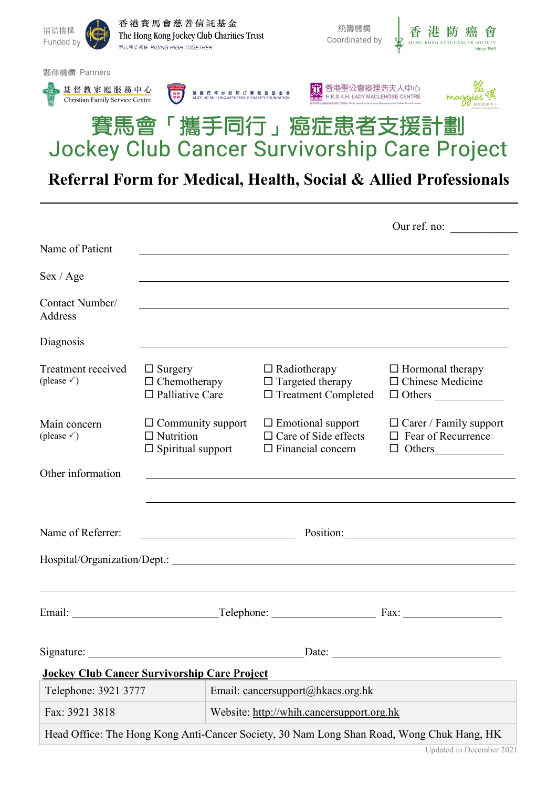

|                                              |                                                                          |                                                                                                                       | Our ref. no:                                               |  |  |
|----------------------------------------------|--------------------------------------------------------------------------|-----------------------------------------------------------------------------------------------------------------------|------------------------------------------------------------|--|--|
| Name of Patient                              |                                                                          |                                                                                                                       |                                                            |  |  |
| Sex / Age                                    |                                                                          |                                                                                                                       |                                                            |  |  |
| Contact Number/<br>Address                   |                                                                          | ,我们也不会有一个人的人,我们也不会有一个人的人,我们也不会有一个人的人。""我们,我们也不会有一个人的人,我们也不会有一个人的人。""我们,我们也不会有一个人                                      |                                                            |  |  |
| Diagnosis                                    |                                                                          |                                                                                                                       |                                                            |  |  |
| Treatment received<br>(please $\checkmark$ ) | $\Box$ Surgery<br>$\Box$ Chemotherapy<br>$\Box$ Palliative Care          | $\Box$ Radiotherapy<br>$\Box$ Targeted therapy<br>$\Box$ Treatment Completed                                          | $\Box$ Hormonal therapy<br>$\Box$ Chinese Medicine         |  |  |
| Main concern<br>(please $\checkmark$ )       | $\Box$ Community support<br>$\Box$ Nutrition<br>$\Box$ Spiritual support | $\Box$ Emotional support<br>$\Box$ Care of Side effects<br>$\Box$ Financial concern                                   | $\Box$ Carer / Family support<br>$\Box$ Fear of Recurrence |  |  |
| Other information                            |                                                                          | <u>and the state of the state of the state of the state of the state of the state of the state of the state of th</u> |                                                            |  |  |
|                                              |                                                                          |                                                                                                                       |                                                            |  |  |
| Name of Referrer:                            | Position: Position:                                                      |                                                                                                                       |                                                            |  |  |
|                                              |                                                                          |                                                                                                                       |                                                            |  |  |
|                                              | Telephone: Fax:                                                          |                                                                                                                       |                                                            |  |  |
| Signature:                                   |                                                                          | Date:                                                                                                                 |                                                            |  |  |
|                                              | <b>Jockey Club Cancer Survivorship Care Project</b>                      |                                                                                                                       |                                                            |  |  |
| Telephone: 3921 3777                         |                                                                          | Email: cancersupport@hkacs.org.hk                                                                                     |                                                            |  |  |
| Fax: 3921 3818                               |                                                                          | Website: http://whih.cancersupport.org.hk                                                                             |                                                            |  |  |
|                                              |                                                                          | Head Office: The Hong Kong Anti-Cancer Society, 30 Nam Long Shan Road, Wong Chuk Hang, HK                             |                                                            |  |  |

֖֦֖֖֖֖֚֚֚֚֚֚֚֚֚֬